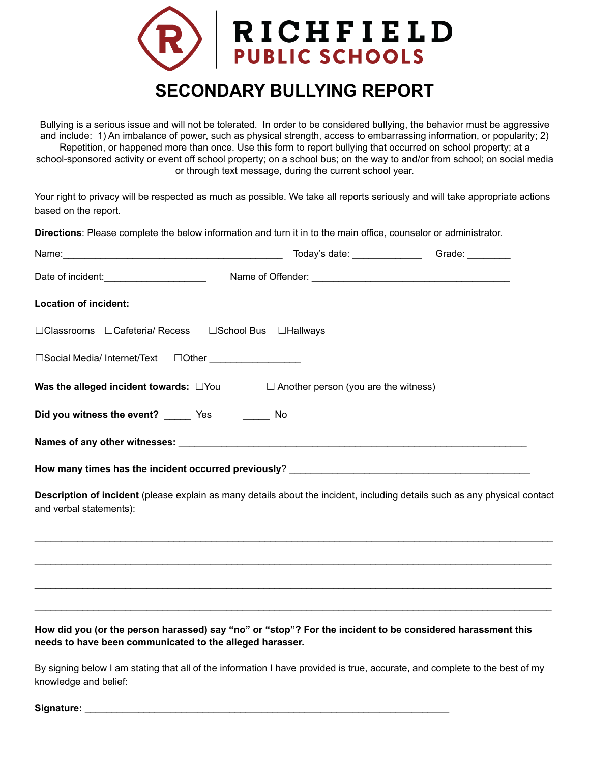

## **SECONDARY BULLYING REPORT**

Bullying is a serious issue and will not be tolerated. In order to be considered bullying, the behavior must be aggressive and include: 1) An imbalance of power, such as physical strength, access to embarrassing information, or popularity; 2) Repetition, or happened more than once. Use this form to report bullying that occurred on school property; at a school-sponsored activity or event off school property; on a school bus; on the way to and/or from school; on social media or through text message, during the current school year.

Your right to privacy will be respected as much as possible. We take all reports seriously and will take appropriate actions based on the report.

**Directions**: Please complete the below information and turn it in to the main office, counselor or administrator.

|                                                                                                                                                       | Today's date: ____________________Grade: _________ |
|-------------------------------------------------------------------------------------------------------------------------------------------------------|----------------------------------------------------|
| Date of incident: _________________________                                                                                                           |                                                    |
| <b>Location of incident:</b>                                                                                                                          |                                                    |
| □Classrooms □Cafeteria/ Recess □School Bus □Hallways                                                                                                  |                                                    |
| □Social Media/ Internet/Text □Other ________________                                                                                                  |                                                    |
| <b>Was the alleged incident towards:</b> $\Box$ You $\Box$ Another person (you are the witness)                                                       |                                                    |
| Did you witness the event? _______ Yes _________ No                                                                                                   |                                                    |
|                                                                                                                                                       |                                                    |
|                                                                                                                                                       |                                                    |
| Description of incident (please explain as many details about the incident, including details such as any physical contact<br>and verbal statements): |                                                    |
|                                                                                                                                                       |                                                    |

## How did you (or the person harassed) say "no" or "stop"? For the incident to be considered harassment this **needs to have been communicated to the alleged harasser.**

 $\_$  ,  $\_$  ,  $\_$  ,  $\_$  ,  $\_$  ,  $\_$  ,  $\_$  ,  $\_$  ,  $\_$  ,  $\_$  ,  $\_$  ,  $\_$  ,  $\_$  ,  $\_$  ,  $\_$  ,  $\_$  ,  $\_$  ,  $\_$  ,  $\_$  ,  $\_$  ,  $\_$  ,  $\_$  ,  $\_$  ,  $\_$  ,  $\_$  ,  $\_$  ,  $\_$  ,  $\_$  ,  $\_$  ,  $\_$  ,  $\_$  ,  $\_$  ,  $\_$  ,  $\_$  ,  $\_$  ,  $\_$  ,  $\_$  ,

 $\_$  ,  $\_$  ,  $\_$  ,  $\_$  ,  $\_$  ,  $\_$  ,  $\_$  ,  $\_$  ,  $\_$  ,  $\_$  ,  $\_$  ,  $\_$  ,  $\_$  ,  $\_$  ,  $\_$  ,  $\_$  ,  $\_$  ,  $\_$  ,  $\_$  ,  $\_$  ,  $\_$  ,  $\_$  ,  $\_$  ,  $\_$  ,  $\_$  ,  $\_$  ,  $\_$  ,  $\_$  ,  $\_$  ,  $\_$  ,  $\_$  ,  $\_$  ,  $\_$  ,  $\_$  ,  $\_$  ,  $\_$  ,  $\_$  ,

 $\_$  ,  $\_$  ,  $\_$  ,  $\_$  ,  $\_$  ,  $\_$  ,  $\_$  ,  $\_$  ,  $\_$  ,  $\_$  ,  $\_$  ,  $\_$  ,  $\_$  ,  $\_$  ,  $\_$  ,  $\_$  ,  $\_$  ,  $\_$  ,  $\_$  ,  $\_$  ,  $\_$  ,  $\_$  ,  $\_$  ,  $\_$  ,  $\_$  ,  $\_$  ,  $\_$  ,  $\_$  ,  $\_$  ,  $\_$  ,  $\_$  ,  $\_$  ,  $\_$  ,  $\_$  ,  $\_$  ,  $\_$  ,  $\_$  ,

By signing below I am stating that all of the information I have provided is true, accurate, and complete to the best of my knowledge and belief:

Signature: